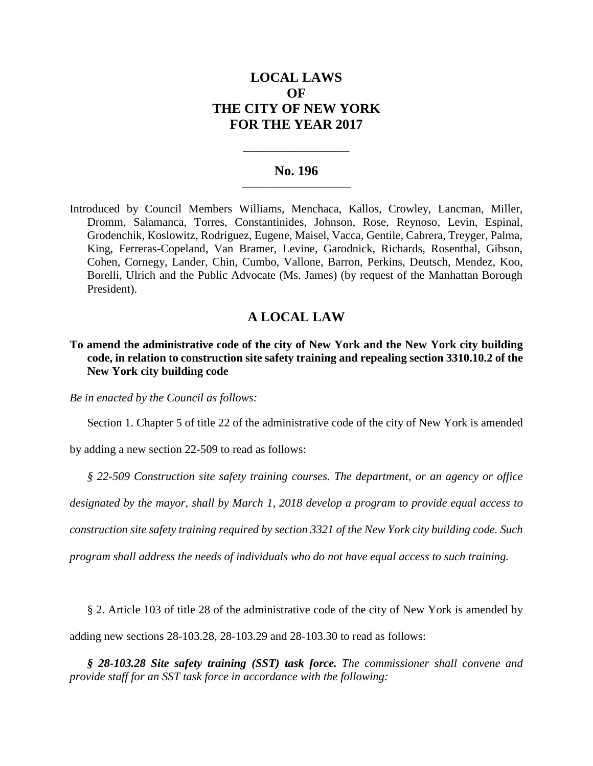# **LOCAL LAWS OF THE CITY OF NEW YORK FOR THE YEAR 2017**

#### **No. 196 \_\_\_\_\_\_\_\_\_\_\_\_\_\_\_\_\_\_\_\_\_\_\_\_\_**

**\_\_\_\_\_\_\_\_\_\_\_\_\_\_\_\_\_\_\_\_\_\_**

Introduced by Council Members Williams, Menchaca, Kallos, Crowley, Lancman, Miller, Dromm, Salamanca, Torres, Constantinides, Johnson, Rose, Reynoso, Levin, Espinal, Grodenchik, Koslowitz, Rodriguez, Eugene, Maisel, Vacca, Gentile, Cabrera, Treyger, Palma, King, Ferreras-Copeland, Van Bramer, Levine, Garodnick, Richards, Rosenthal, Gibson, Cohen, Cornegy, Lander, Chin, Cumbo, Vallone, Barron, Perkins, Deutsch, Mendez, Koo, Borelli, Ulrich and the Public Advocate (Ms. James) (by request of the Manhattan Borough President).

# **A LOCAL LAW**

## **To amend the administrative code of the city of New York and the New York city building code, in relation to construction site safety training and repealing section 3310.10.2 of the New York city building code**

*Be in enacted by the Council as follows:*

Section 1. Chapter 5 of title 22 of the administrative code of the city of New York is amended

by adding a new section 22-509 to read as follows:

*§ 22-509 Construction site safety training courses. The department, or an agency or office*

*designated by the mayor, shall by March 1, 2018 develop a program to provide equal access to*

*construction site safety training required by section 3321 of the New York city building code. Such*

*program shall address the needs of individuals who do not have equal access to such training.*

§ 2. Article 103 of title 28 of the administrative code of the city of New York is amended by adding new sections 28-103.28, 28-103.29 and 28-103.30 to read as follows:

*§ 28-103.28 Site safety training (SST) task force. The commissioner shall convene and provide staff for an SST task force in accordance with the following:*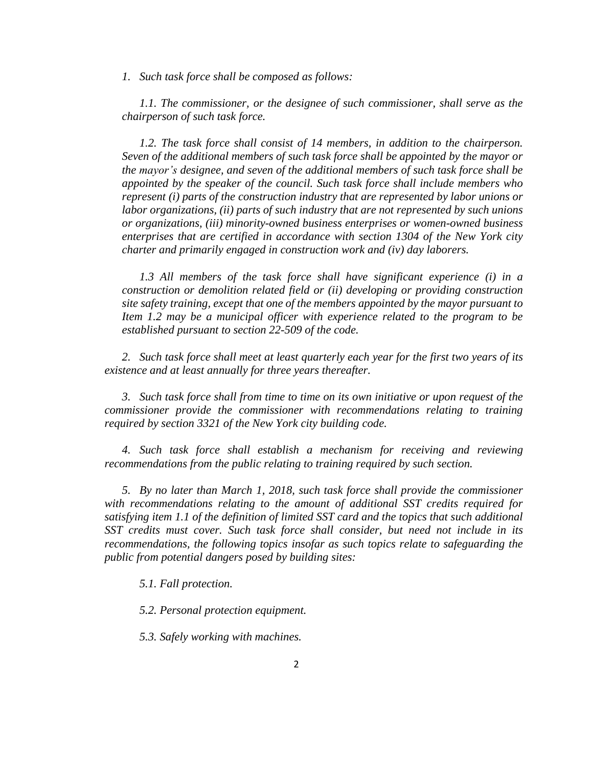*1. Such task force shall be composed as follows:*

*1.1. The commissioner, or the designee of such commissioner, shall serve as the chairperson of such task force.*

*1.2. The task force shall consist of 14 members, in addition to the chairperson. Seven of the additional members of such task force shall be appointed by the mayor or the mayor's designee, and seven of the additional members of such task force shall be appointed by the speaker of the council. Such task force shall include members who represent (i) parts of the construction industry that are represented by labor unions or labor organizations, (ii) parts of such industry that are not represented by such unions or organizations, (iii) minority-owned business enterprises or women-owned business enterprises that are certified in accordance with section 1304 of the New York city charter and primarily engaged in construction work and (iv) day laborers.*

*1.3 All members of the task force shall have significant experience (i) in a construction or demolition related field or (ii) developing or providing construction site safety training, except that one of the members appointed by the mayor pursuant to Item 1.2 may be a municipal officer with experience related to the program to be established pursuant to section 22-509 of the code.*

*2. Such task force shall meet at least quarterly each year for the first two years of its existence and at least annually for three years thereafter.*

*3. Such task force shall from time to time on its own initiative or upon request of the commissioner provide the commissioner with recommendations relating to training required by section 3321 of the New York city building code.*

*4. Such task force shall establish a mechanism for receiving and reviewing recommendations from the public relating to training required by such section.*

*5. By no later than March 1, 2018, such task force shall provide the commissioner with recommendations relating to the amount of additional SST credits required for satisfying item 1.1 of the definition of limited SST card and the topics that such additional SST credits must cover. Such task force shall consider, but need not include in its recommendations, the following topics insofar as such topics relate to safeguarding the public from potential dangers posed by building sites:*

*5.1. Fall protection.*

*5.2. Personal protection equipment.*

*5.3. Safely working with machines.*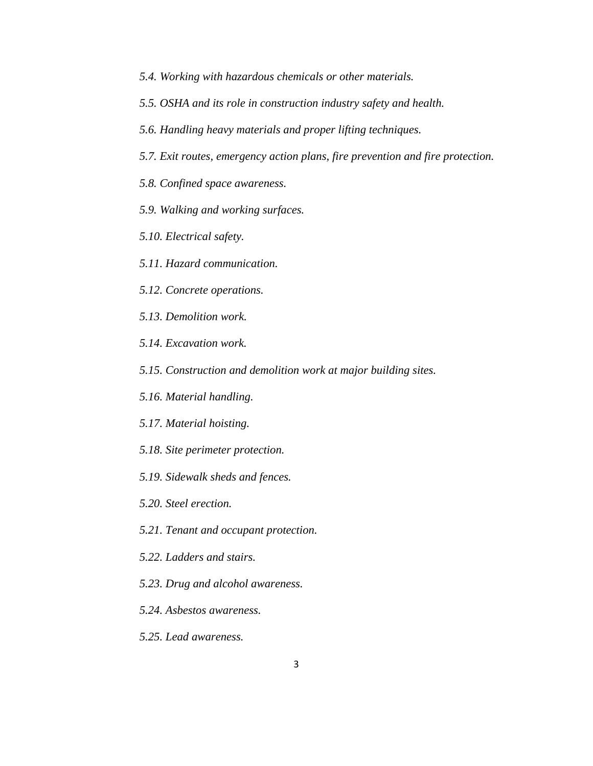- *5.4. Working with hazardous chemicals or other materials.*
- *5.5. OSHA and its role in construction industry safety and health.*
- *5.6. Handling heavy materials and proper lifting techniques.*
- *5.7. Exit routes, emergency action plans, fire prevention and fire protection.*
- *5.8. Confined space awareness.*
- *5.9. Walking and working surfaces.*
- *5.10. Electrical safety.*
- *5.11. Hazard communication.*
- *5.12. Concrete operations.*
- *5.13. Demolition work.*
- *5.14. Excavation work.*
- *5.15. Construction and demolition work at major building sites.*
- *5.16. Material handling.*
- *5.17. Material hoisting.*
- *5.18. Site perimeter protection.*
- *5.19. Sidewalk sheds and fences.*
- *5.20. Steel erection.*
- *5.21. Tenant and occupant protection.*
- *5.22. Ladders and stairs.*
- *5.23. Drug and alcohol awareness.*
- *5.24. Asbestos awareness.*
- *5.25. Lead awareness.*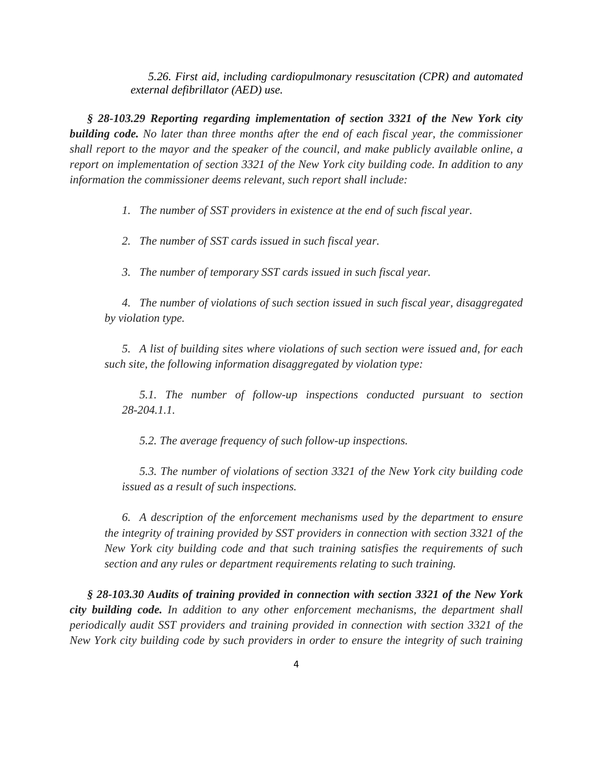*5.26. First aid, including cardiopulmonary resuscitation (CPR) and automated external defibrillator (AED) use.*

*§ 28-103.29 Reporting regarding implementation of section 3321 of the New York city building code. No later than three months after the end of each fiscal year, the commissioner shall report to the mayor and the speaker of the council, and make publicly available online, a report on implementation of section 3321 of the New York city building code. In addition to any information the commissioner deems relevant, such report shall include:*

*1. The number of SST providers in existence at the end of such fiscal year.*

*2. The number of SST cards issued in such fiscal year.*

*3. The number of temporary SST cards issued in such fiscal year.*

*4. The number of violations of such section issued in such fiscal year, disaggregated by violation type.*

*5. A list of building sites where violations of such section were issued and, for each such site, the following information disaggregated by violation type:*

*5.1. The number of follow-up inspections conducted pursuant to section 28-204.1.1.*

*5.2. The average frequency of such follow-up inspections.*

*5.3. The number of violations of section 3321 of the New York city building code issued as a result of such inspections.*

*6. A description of the enforcement mechanisms used by the department to ensure the integrity of training provided by SST providers in connection with section 3321 of the New York city building code and that such training satisfies the requirements of such section and any rules or department requirements relating to such training.*

*§ 28-103.30 Audits of training provided in connection with section 3321 of the New York city building code. In addition to any other enforcement mechanisms, the department shall periodically audit SST providers and training provided in connection with section 3321 of the New York city building code by such providers in order to ensure the integrity of such training*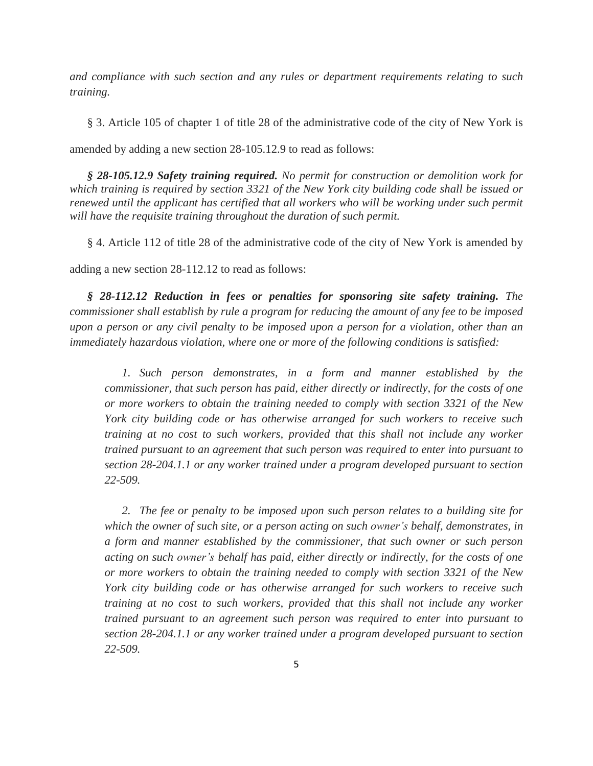*and compliance with such section and any rules or department requirements relating to such training.*

§ 3. Article 105 of chapter 1 of title 28 of the administrative code of the city of New York is amended by adding a new section 28-105.12.9 to read as follows:

*§ 28-105.12.9 Safety training required. No permit for construction or demolition work for which training is required by section 3321 of the New York city building code shall be issued or renewed until the applicant has certified that all workers who will be working under such permit will have the requisite training throughout the duration of such permit.*

§ 4. Article 112 of title 28 of the administrative code of the city of New York is amended by

adding a new section 28-112.12 to read as follows:

*§ 28-112.12 Reduction in fees or penalties for sponsoring site safety training. The commissioner shall establish by rule a program for reducing the amount of any fee to be imposed* upon a person or any civil penalty to be imposed upon a person for a violation, other than an *immediately hazardous violation, where one or more of the following conditions is satisfied:*

*1. Such person demonstrates, in a form and manner established by the commissioner, that such person has paid, either directly or indirectly, for the costs of one or more workers to obtain the training needed to comply with section 3321 of the New York city building code or has otherwise arranged for such workers to receive such training at no cost to such workers, provided that this shall not include any worker trained pursuant to an agreement that such person was required to enter into pursuant to section 28-204.1.1 or any worker trained under a program developed pursuant to section 22-509.*

*2. The fee or penalty to be imposed upon such person relates to a building site for which the owner of such site, or a person acting on such owner's behalf, demonstrates, in a form and manner established by the commissioner, that such owner or such person acting on such owner's behalf has paid, either directly or indirectly, for the costs of one or more workers to obtain the training needed to comply with section 3321 of the New York city building code or has otherwise arranged for such workers to receive such training at no cost to such workers, provided that this shall not include any worker trained pursuant to an agreement such person was required to enter into pursuant to section 28-204.1.1 or any worker trained under a program developed pursuant to section 22-509.*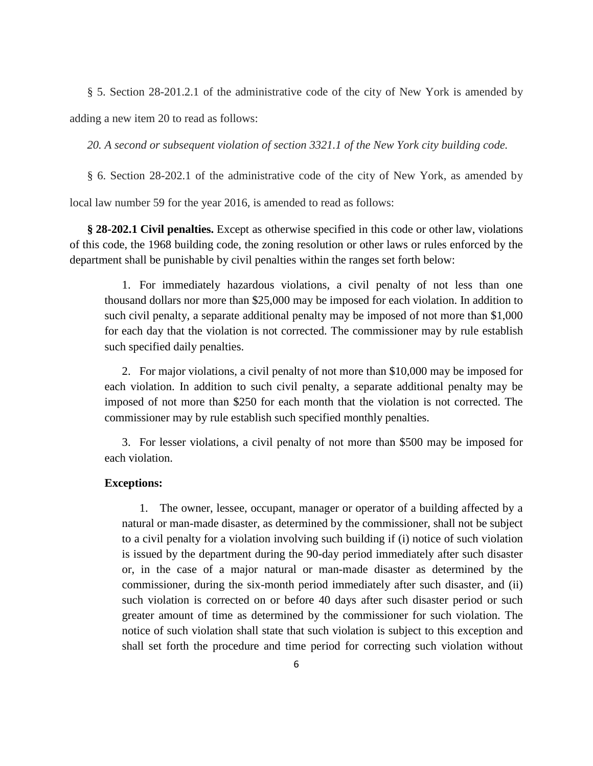§ 5. Section 28-201.2.1 of the administrative code of the city of New York is amended by

adding a new item 20 to read as follows:

*20. A second or subsequent violation of section 3321.1 of the New York city building code.*

§ 6. Section 28-202.1 of the administrative code of the city of New York, as amended by

local law number 59 for the year 2016, is amended to read as follows:

**§ 28-202.1 Civil penalties.** Except as otherwise specified in this code or other law, violations of this code, the 1968 building code, the zoning resolution or other laws or rules enforced by the department shall be punishable by civil penalties within the ranges set forth below:

1. For immediately hazardous violations, a civil penalty of not less than one thousand dollars nor more than \$25,000 may be imposed for each violation. In addition to such civil penalty, a separate additional penalty may be imposed of not more than \$1,000 for each day that the violation is not corrected. The commissioner may by rule establish such specified daily penalties.

2. For major violations, a civil penalty of not more than \$10,000 may be imposed for each violation. In addition to such civil penalty, a separate additional penalty may be imposed of not more than \$250 for each month that the violation is not corrected. The commissioner may by rule establish such specified monthly penalties.

3. For lesser violations, a civil penalty of not more than \$500 may be imposed for each violation.

#### **Exceptions:**

1. The owner, lessee, occupant, manager or operator of a building affected by a natural or man-made disaster, as determined by the commissioner, shall not be subject to a civil penalty for a violation involving such building if (i) notice of such violation is issued by the department during the 90-day period immediately after such disaster or, in the case of a major natural or man-made disaster as determined by the commissioner, during the six-month period immediately after such disaster, and (ii) such violation is corrected on or before 40 days after such disaster period or such greater amount of time as determined by the commissioner for such violation. The notice of such violation shall state that such violation is subject to this exception and shall set forth the procedure and time period for correcting such violation without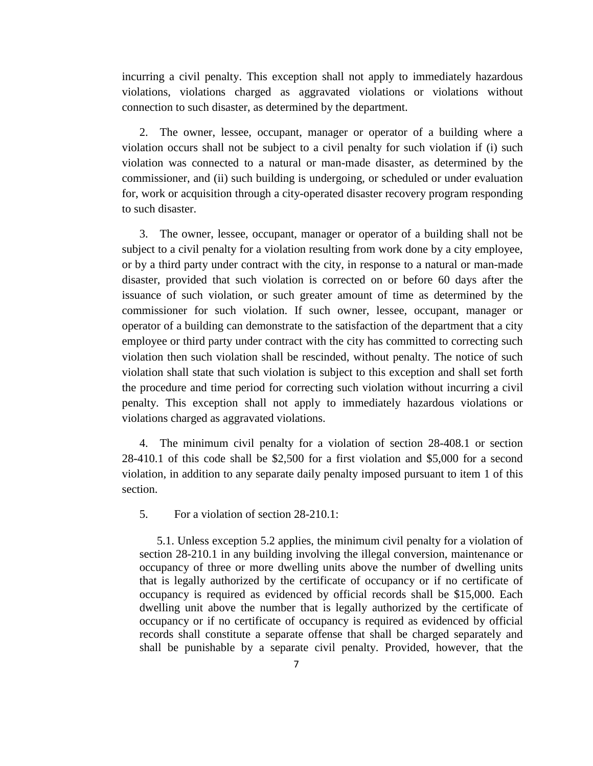incurring a civil penalty. This exception shall not apply to immediately hazardous violations, violations charged as aggravated violations or violations without connection to such disaster, as determined by the department.

2. The owner, lessee, occupant, manager or operator of a building where a violation occurs shall not be subject to a civil penalty for such violation if (i) such violation was connected to a natural or man-made disaster, as determined by the commissioner, and (ii) such building is undergoing, or scheduled or under evaluation for, work or acquisition through a city-operated disaster recovery program responding to such disaster.

3. The owner, lessee, occupant, manager or operator of a building shall not be subject to a civil penalty for a violation resulting from work done by a city employee, or by a third party under contract with the city, in response to a natural or man-made disaster, provided that such violation is corrected on or before 60 days after the issuance of such violation, or such greater amount of time as determined by the commissioner for such violation. If such owner, lessee, occupant, manager or operator of a building can demonstrate to the satisfaction of the department that a city employee or third party under contract with the city has committed to correcting such violation then such violation shall be rescinded, without penalty. The notice of such violation shall state that such violation is subject to this exception and shall set forth the procedure and time period for correcting such violation without incurring a civil penalty. This exception shall not apply to immediately hazardous violations or violations charged as aggravated violations.

4. The minimum civil penalty for a violation of section 28-408.1 or section 28-410.1 of this code shall be \$2,500 for a first violation and \$5,000 for a second violation, in addition to any separate daily penalty imposed pursuant to item 1 of this section.

5. For a violation of section 28-210.1:

5.1. Unless exception 5.2 applies, the minimum civil penalty for a violation of section 28-210.1 in any building involving the illegal conversion, maintenance or occupancy of three or more dwelling units above the number of dwelling units that is legally authorized by the certificate of occupancy or if no certificate of occupancy is required as evidenced by official records shall be \$15,000. Each dwelling unit above the number that is legally authorized by the certificate of occupancy or if no certificate of occupancy is required as evidenced by official records shall constitute a separate offense that shall be charged separately and shall be punishable by a separate civil penalty. Provided, however, that the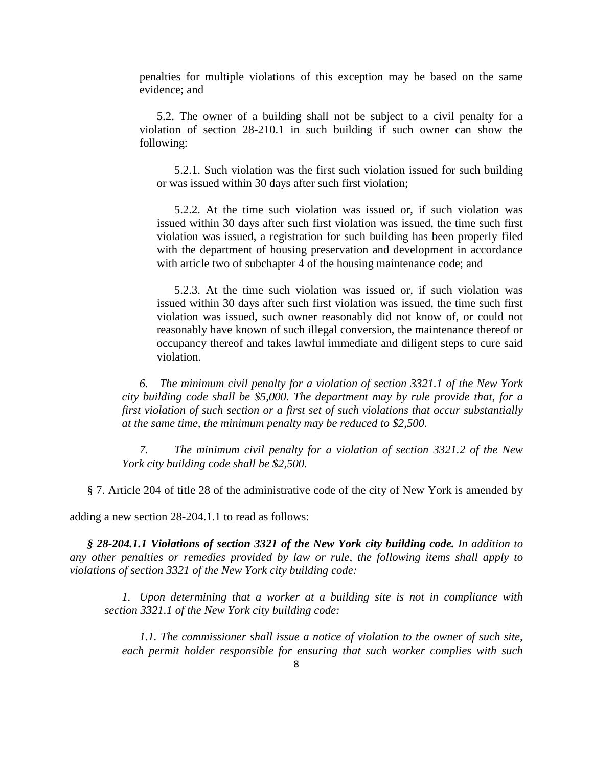penalties for multiple violations of this exception may be based on the same evidence; and

5.2. The owner of a building shall not be subject to a civil penalty for a violation of section 28-210.1 in such building if such owner can show the following:

5.2.1. Such violation was the first such violation issued for such building or was issued within 30 days after such first violation;

5.2.2. At the time such violation was issued or, if such violation was issued within 30 days after such first violation was issued, the time such first violation was issued, a registration for such building has been properly filed with the department of housing preservation and development in accordance with article two of subchapter 4 of the housing maintenance code; and

5.2.3. At the time such violation was issued or, if such violation was issued within 30 days after such first violation was issued, the time such first violation was issued, such owner reasonably did not know of, or could not reasonably have known of such illegal conversion, the maintenance thereof or occupancy thereof and takes lawful immediate and diligent steps to cure said violation.

*6. The minimum civil penalty for a violation of section 3321.1 of the New York city building code shall be \$5,000. The department may by rule provide that, for a first violation of such section or a first set of such violations that occur substantially at the same time, the minimum penalty may be reduced to \$2,500.*

*7. The minimum civil penalty for a violation of section 3321.2 of the New York city building code shall be \$2,500.*

§ 7. Article 204 of title 28 of the administrative code of the city of New York is amended by

adding a new section 28-204.1.1 to read as follows:

*§ 28-204.1.1 Violations of section 3321 of the New York city building code. In addition to any other penalties or remedies provided by law or rule, the following items shall apply to violations of section 3321 of the New York city building code:*

*1. Upon determining that a worker at a building site is not in compliance with section 3321.1 of the New York city building code:*

*1.1. The commissioner shall issue a notice of violation to the owner of such site, each permit holder responsible for ensuring that such worker complies with such*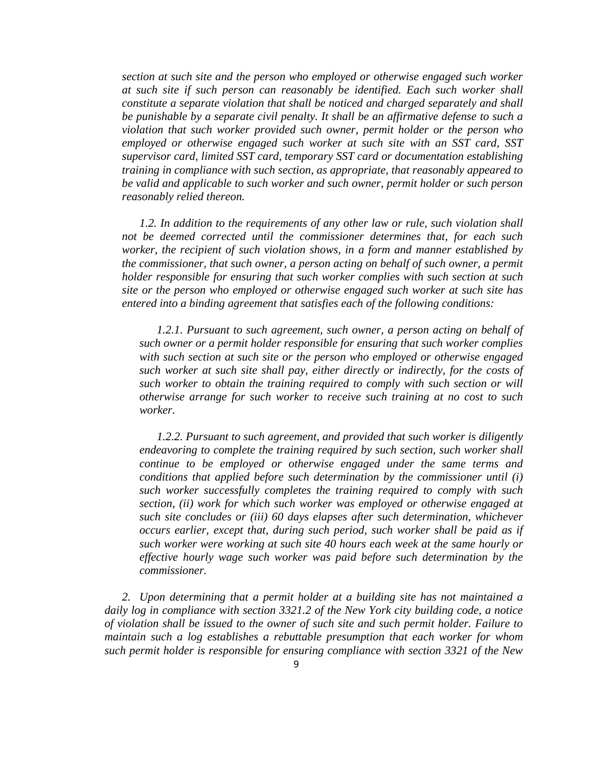*section at such site and the person who employed or otherwise engaged such worker at such site if such person can reasonably be identified. Each such worker shall constitute a separate violation that shall be noticed and charged separately and shall be punishable by a separate civil penalty. It shall be an affirmative defense to such a violation that such worker provided such owner, permit holder or the person who employed or otherwise engaged such worker at such site with an SST card, SST supervisor card, limited SST card, temporary SST card or documentation establishing training in compliance with such section, as appropriate, that reasonably appeared to be valid and applicable to such worker and such owner, permit holder or such person reasonably relied thereon.*

*1.2. In addition to the requirements of any other law or rule, such violation shall not be deemed corrected until the commissioner determines that, for each such worker, the recipient of such violation shows, in a form and manner established by the commissioner, that such owner, a person acting on behalf of such owner, a permit holder responsible for ensuring that such worker complies with such section at such site or the person who employed or otherwise engaged such worker at such site has entered into a binding agreement that satisfies each of the following conditions:*

*1.2.1. Pursuant to such agreement, such owner, a person acting on behalf of such owner or a permit holder responsible for ensuring that such worker complies with such section at such site or the person who employed or otherwise engaged such worker at such site shall pay, either directly or indirectly, for the costs of such worker to obtain the training required to comply with such section or will otherwise arrange for such worker to receive such training at no cost to such worker.*

*1.2.2. Pursuant to such agreement, and provided that such worker is diligently endeavoring to complete the training required by such section, such worker shall continue to be employed or otherwise engaged under the same terms and conditions that applied before such determination by the commissioner until (i) such worker successfully completes the training required to comply with such section, (ii) work for which such worker was employed or otherwise engaged at such site concludes or (iii) 60 days elapses after such determination, whichever occurs earlier, except that, during such period, such worker shall be paid as if such worker were working at such site 40 hours each week at the same hourly or effective hourly wage such worker was paid before such determination by the commissioner.*

*2. Upon determining that a permit holder at a building site has not maintained a daily log in compliance with section 3321.2 of the New York city building code, a notice of violation shall be issued to the owner of such site and such permit holder. Failure to maintain such a log establishes a rebuttable presumption that each worker for whom such permit holder is responsible for ensuring compliance with section 3321 of the New*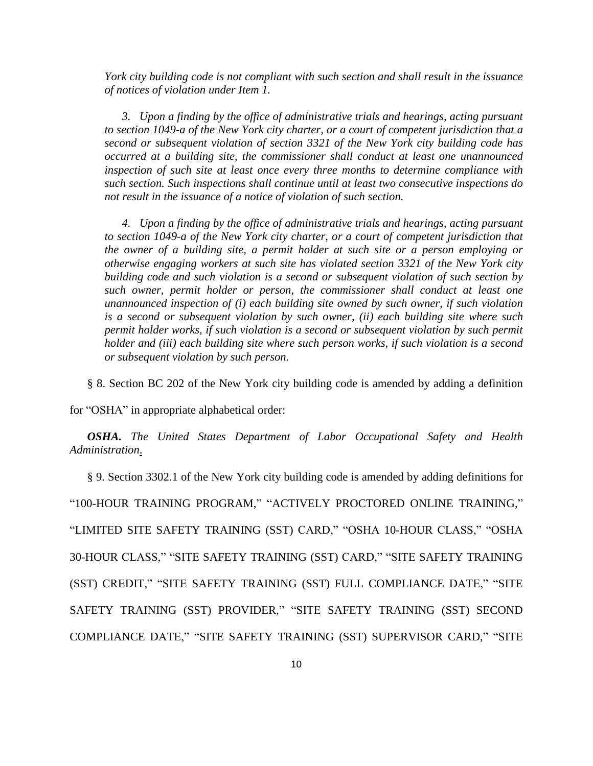*York city building code is not compliant with such section and shall result in the issuance of notices of violation under Item 1.*

*3. Upon a finding by the office of administrative trials and hearings, acting pursuant to section 1049-a of the New York city charter, or a court of competent jurisdiction that a second or subsequent violation of section 3321 of the New York city building code has occurred at a building site, the commissioner shall conduct at least one unannounced inspection of such site at least once every three months to determine compliance with such section. Such inspections shall continue until at least two consecutive inspections do not result in the issuance of a notice of violation of such section.*

*4. Upon a finding by the office of administrative trials and hearings, acting pursuant to section 1049-a of the New York city charter, or a court of competent jurisdiction that the owner of a building site, a permit holder at such site or a person employing or otherwise engaging workers at such site has violated section 3321 of the New York city building code and such violation is a second or subsequent violation of such section by such owner, permit holder or person, the commissioner shall conduct at least one unannounced inspection of (i) each building site owned by such owner, if such violation is a second or subsequent violation by such owner, (ii) each building site where such permit holder works, if such violation is a second or subsequent violation by such permit holder and (iii) each building site where such person works, if such violation is a second or subsequent violation by such person.*

§ 8. Section BC 202 of the New York city building code is amended by adding a definition

for "OSHA" in appropriate alphabetical order:

*OSHA. The United States Department of Labor Occupational Safety and Health Administration*.

§ 9. Section 3302.1 of the New York city building code is amended by adding definitions for "100-HOUR TRAINING PROGRAM," "ACTIVELY PROCTORED ONLINE TRAINING," "LIMITED SITE SAFETY TRAINING (SST) CARD," "OSHA 10-HOUR CLASS," "OSHA 30-HOUR CLASS," "SITE SAFETY TRAINING (SST) CARD," "SITE SAFETY TRAINING (SST) CREDIT," "SITE SAFETY TRAINING (SST) FULL COMPLIANCE DATE," "SITE SAFETY TRAINING (SST) PROVIDER," "SITE SAFETY TRAINING (SST) SECOND COMPLIANCE DATE," "SITE SAFETY TRAINING (SST) SUPERVISOR CARD," "SITE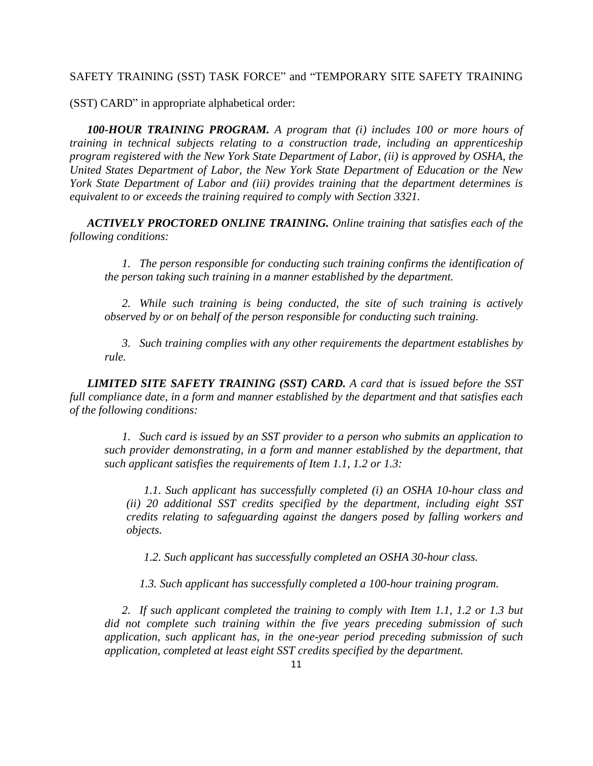#### SAFETY TRAINING (SST) TASK FORCE" and "TEMPORARY SITE SAFETY TRAINING

(SST) CARD" in appropriate alphabetical order:

*100-HOUR TRAINING PROGRAM. A program that (i) includes 100 or more hours of training in technical subjects relating to a construction trade, including an apprenticeship program registered with the New York State Department of Labor, (ii) is approved by OSHA, the United States Department of Labor, the New York State Department of Education or the New York State Department of Labor and (iii) provides training that the department determines is equivalent to or exceeds the training required to comply with Section 3321.*

*ACTIVELY PROCTORED ONLINE TRAINING. Online training that satisfies each of the following conditions:*

*1. The person responsible for conducting such training confirms the identification of the person taking such training in a manner established by the department.*

*2. While such training is being conducted, the site of such training is actively observed by or on behalf of the person responsible for conducting such training.*

*3. Such training complies with any other requirements the department establishes by rule.*

*LIMITED SITE SAFETY TRAINING (SST) CARD. A card that is issued before the SST full compliance date, in a form and manner established by the department and that satisfies each of the following conditions:*

*1. Such card is issued by an SST provider to a person who submits an application to such provider demonstrating, in a form and manner established by the department, that such applicant satisfies the requirements of Item 1.1, 1.2 or 1.3:*

*1.1. Such applicant has successfully completed (i) an OSHA 10-hour class and (ii) 20 additional SST credits specified by the department, including eight SST credits relating to safeguarding against the dangers posed by falling workers and objects.*

*1.2. Such applicant has successfully completed an OSHA 30-hour class.*

*1.3. Such applicant has successfully completed a 100-hour training program.*

*2. If such applicant completed the training to comply with Item 1.1, 1.2 or 1.3 but did not complete such training within the five years preceding submission of such application, such applicant has, in the one-year period preceding submission of such application, completed at least eight SST credits specified by the department.*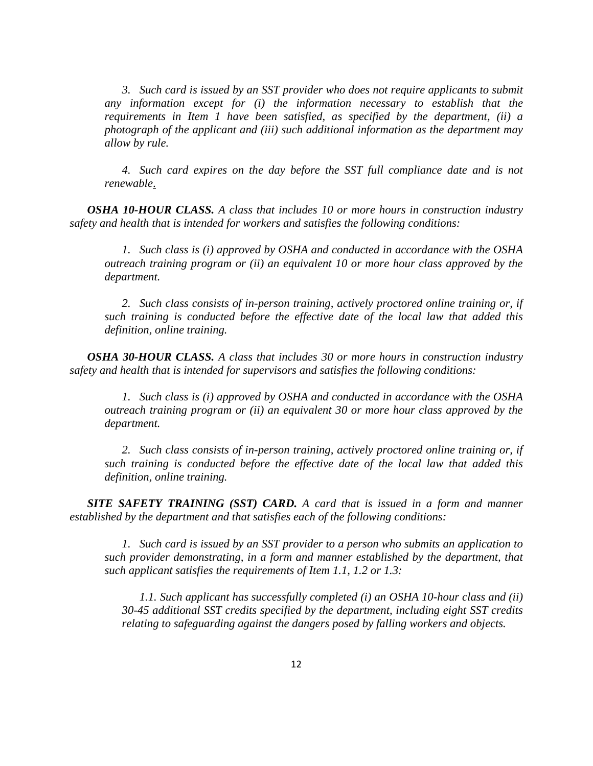*3. Such card is issued by an SST provider who does not require applicants to submit any information except for (i) the information necessary to establish that the requirements in Item 1 have been satisfied, as specified by the department, (ii) a photograph of the applicant and (iii) such additional information as the department may allow by rule.*

*4. Such card expires on the day before the SST full compliance date and is not renewable*.

*OSHA 10-HOUR CLASS. A class that includes 10 or more hours in construction industry safety and health that is intended for workers and satisfies the following conditions:*

*1. Such class is (i) approved by OSHA and conducted in accordance with the OSHA outreach training program or (ii) an equivalent 10 or more hour class approved by the department.*

*2. Such class consists of in-person training, actively proctored online training or, if such training is conducted before the effective date of the local law that added this definition, online training.*

*OSHA 30-HOUR CLASS. A class that includes 30 or more hours in construction industry safety and health that is intended for supervisors and satisfies the following conditions:*

*1. Such class is (i) approved by OSHA and conducted in accordance with the OSHA outreach training program or (ii) an equivalent 30 or more hour class approved by the department.*

*2. Such class consists of in-person training, actively proctored online training or, if such training is conducted before the effective date of the local law that added this definition, online training.*

*SITE SAFETY TRAINING (SST) CARD. A card that is issued in a form and manner established by the department and that satisfies each of the following conditions:*

*1. Such card is issued by an SST provider to a person who submits an application to such provider demonstrating, in a form and manner established by the department, that such applicant satisfies the requirements of Item 1.1, 1.2 or 1.3:*

*1.1. Such applicant has successfully completed (i) an OSHA 10-hour class and (ii) 30-45 additional SST credits specified by the department, including eight SST credits relating to safeguarding against the dangers posed by falling workers and objects.*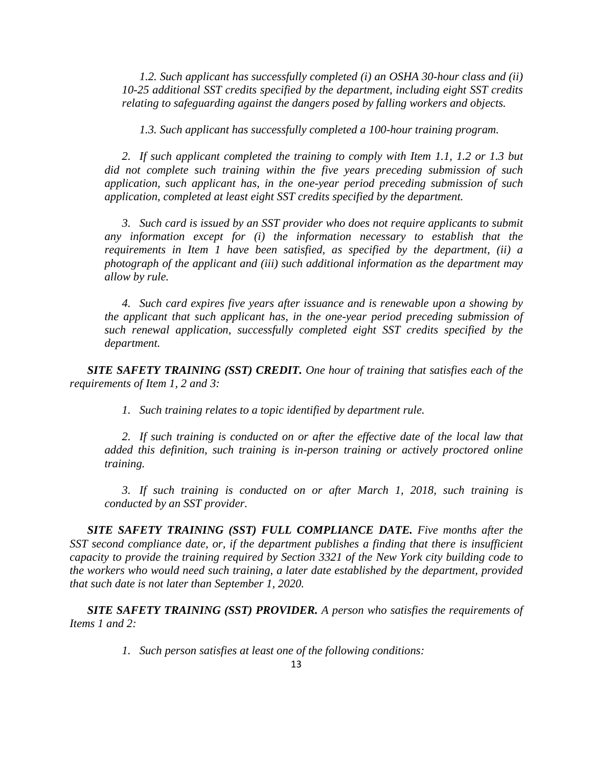*1.2. Such applicant has successfully completed (i) an OSHA 30-hour class and (ii) 10-25 additional SST credits specified by the department, including eight SST credits relating to safeguarding against the dangers posed by falling workers and objects.*

*1.3. Such applicant has successfully completed a 100-hour training program.*

*2. If such applicant completed the training to comply with Item 1.1, 1.2 or 1.3 but did not complete such training within the five years preceding submission of such application, such applicant has, in the one-year period preceding submission of such application, completed at least eight SST credits specified by the department.*

*3. Such card is issued by an SST provider who does not require applicants to submit any information except for (i) the information necessary to establish that the requirements in Item 1 have been satisfied, as specified by the department, (ii) a photograph of the applicant and (iii) such additional information as the department may allow by rule.*

*4. Such card expires five years after issuance and is renewable upon a showing by the applicant that such applicant has, in the one-year period preceding submission of such renewal application, successfully completed eight SST credits specified by the department.*

*SITE SAFETY TRAINING (SST) CREDIT. One hour of training that satisfies each of the requirements of Item 1, 2 and 3:*

*1. Such training relates to a topic identified by department rule.*

*2. If such training is conducted on or after the effective date of the local law that added this definition, such training is in-person training or actively proctored online training.*

*3. If such training is conducted on or after March 1, 2018, such training is conducted by an SST provider.*

*SITE SAFETY TRAINING (SST) FULL COMPLIANCE DATE. Five months after the SST second compliance date, or, if the department publishes a finding that there is insufficient capacity to provide the training required by Section 3321 of the New York city building code to the workers who would need such training, a later date established by the department, provided that such date is not later than September 1, 2020.*

*SITE SAFETY TRAINING (SST) PROVIDER. A person who satisfies the requirements of Items 1 and 2:*

*1. Such person satisfies at least one of the following conditions:*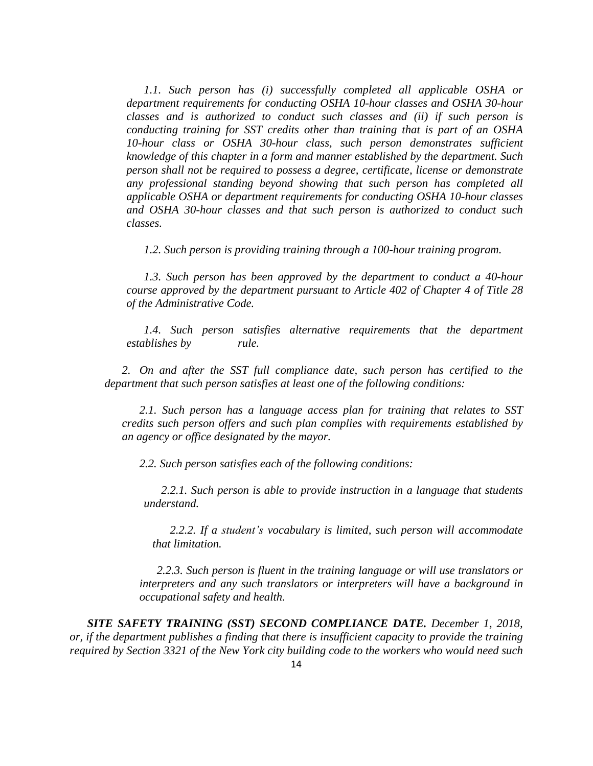*1.1. Such person has (i) successfully completed all applicable OSHA or department requirements for conducting OSHA 10-hour classes and OSHA 30-hour classes and is authorized to conduct such classes and (ii) if such person is conducting training for SST credits other than training that is part of an OSHA 10-hour class or OSHA 30-hour class, such person demonstrates sufficient knowledge of this chapter in a form and manner established by the department. Such person shall not be required to possess a degree, certificate, license or demonstrate any professional standing beyond showing that such person has completed all applicable OSHA or department requirements for conducting OSHA 10-hour classes and OSHA 30-hour classes and that such person is authorized to conduct such classes.*

*1.2. Such person is providing training through a 100-hour training program.*

*1.3. Such person has been approved by the department to conduct a 40-hour course approved by the department pursuant to Article 402 of Chapter 4 of Title 28 of the Administrative Code.*

*1.4. Such person satisfies alternative requirements that the department establishes by rule.*

*2. On and after the SST full compliance date, such person has certified to the department that such person satisfies at least one of the following conditions:*

*2.1. Such person has a language access plan for training that relates to SST credits such person offers and such plan complies with requirements established by an agency or office designated by the mayor.*

*2.2. Such person satisfies each of the following conditions:*

*2.2.1. Such person is able to provide instruction in a language that students understand.*

*2.2.2. If a student's vocabulary is limited, such person will accommodate that limitation.*

*2.2.3. Such person is fluent in the training language or will use translators or interpreters and any such translators or interpreters will have a background in occupational safety and health.*

*SITE SAFETY TRAINING (SST) SECOND COMPLIANCE DATE. December 1, 2018, or, if the department publishes a finding that there is insufficient capacity to provide the training required by Section 3321 of the New York city building code to the workers who would need such*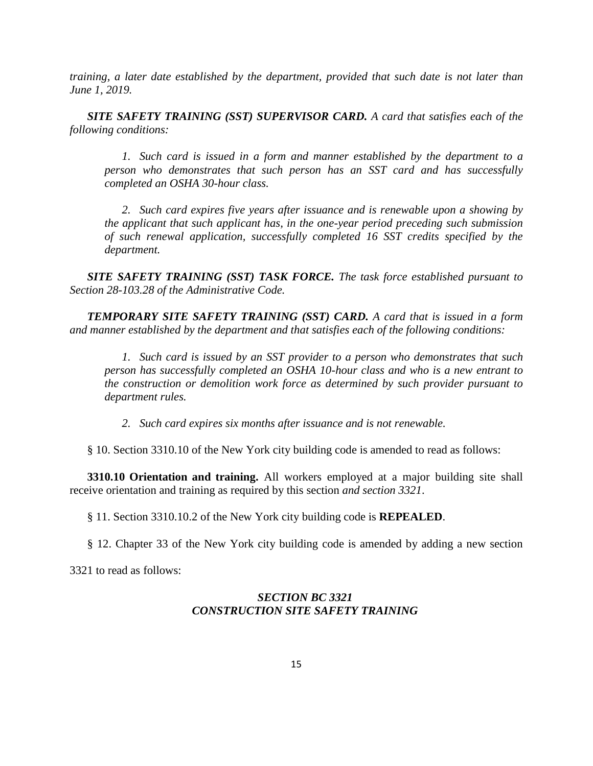*training, a later date established by the department, provided that such date is not later than June 1, 2019.*

*SITE SAFETY TRAINING (SST) SUPERVISOR CARD. A card that satisfies each of the following conditions:*

*1. Such card is issued in a form and manner established by the department to a person who demonstrates that such person has an SST card and has successfully completed an OSHA 30-hour class.*

*2. Such card expires five years after issuance and is renewable upon a showing by the applicant that such applicant has, in the one-year period preceding such submission of such renewal application, successfully completed 16 SST credits specified by the department.*

*SITE SAFETY TRAINING (SST) TASK FORCE. The task force established pursuant to Section 28-103.28 of the Administrative Code.*

*TEMPORARY SITE SAFETY TRAINING (SST) CARD. A card that is issued in a form and manner established by the department and that satisfies each of the following conditions:*

*1. Such card is issued by an SST provider to a person who demonstrates that such person has successfully completed an OSHA 10-hour class and who is a new entrant to the construction or demolition work force as determined by such provider pursuant to department rules.*

*2. Such card expires six months after issuance and is not renewable.*

§ 10. Section 3310.10 of the New York city building code is amended to read as follows:

**3310.10 Orientation and training.** All workers employed at a major building site shall receive orientation and training as required by this section *and section 3321*.

§ 11. Section 3310.10.2 of the New York city building code is **REPEALED**.

§ 12. Chapter 33 of the New York city building code is amended by adding a new section

3321 to read as follows:

## *SECTION BC 3321 CONSTRUCTION SITE SAFETY TRAINING*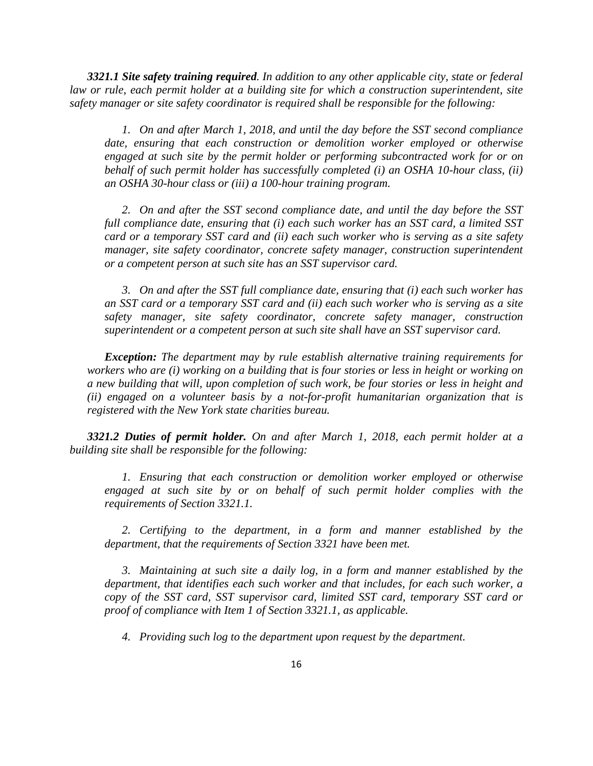*3321.1 Site safety training required. In addition to any other applicable city, state or federal law or rule, each permit holder at a building site for which a construction superintendent, site safety manager or site safety coordinator is required shall be responsible for the following:*

*1. On and after March 1, 2018, and until the day before the SST second compliance date, ensuring that each construction or demolition worker employed or otherwise engaged at such site by the permit holder or performing subcontracted work for or on behalf of such permit holder has successfully completed (i) an OSHA 10-hour class, (ii) an OSHA 30-hour class or (iii) a 100-hour training program.*

*2. On and after the SST second compliance date, and until the day before the SST full compliance date, ensuring that (i) each such worker has an SST card, a limited SST card or a temporary SST card and (ii) each such worker who is serving as a site safety manager, site safety coordinator, concrete safety manager, construction superintendent or a competent person at such site has an SST supervisor card.*

*3. On and after the SST full compliance date, ensuring that (i) each such worker has an SST card or a temporary SST card and (ii) each such worker who is serving as a site safety manager, site safety coordinator, concrete safety manager, construction superintendent or a competent person at such site shall have an SST supervisor card.*

*Exception: The department may by rule establish alternative training requirements for* workers who are (i) working on a building that is four stories or less in height or working on *a new building that will, upon completion of such work, be four stories or less in height and (ii) engaged on a volunteer basis by a not-for-profit humanitarian organization that is registered with the New York state charities bureau.*

*3321.2 Duties of permit holder. On and after March 1, 2018, each permit holder at a building site shall be responsible for the following:*

*1. Ensuring that each construction or demolition worker employed or otherwise engaged at such site by or on behalf of such permit holder complies with the requirements of Section 3321.1.*

*2. Certifying to the department, in a form and manner established by the department, that the requirements of Section 3321 have been met.*

*3. Maintaining at such site a daily log, in a form and manner established by the department, that identifies each such worker and that includes, for each such worker, a copy of the SST card, SST supervisor card, limited SST card, temporary SST card or proof of compliance with Item 1 of Section 3321.1, as applicable.*

*4. Providing such log to the department upon request by the department.*